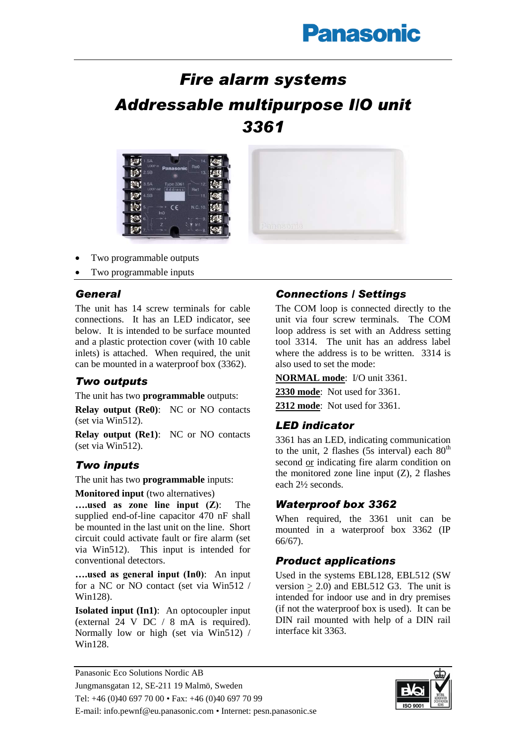# **Panasonic**

## *Fire alarm systems Addressable multipurpose I/O unit 3361*





Two programmable inputs

## *General*

The unit has 14 screw terminals for cable connections. It has an LED indicator, see below. It is intended to be surface mounted and a plastic protection cover (with 10 cable inlets) is attached. When required, the unit can be mounted in a waterproof box (3362).

## *Two outputs*

The unit has two **programmable** outputs:

**Relay output (Re0)**: NC or NO contacts (set via Win512).

**Relay output (Re1)**: NC or NO contacts (set via Win512).

## *Two inputs*

The unit has two **programmable** inputs:

#### **Monitored input** (two alternatives)

**….used as zone line input (Z)**: The supplied end-of-line capacitor 470 nF shall be mounted in the last unit on the line. Short circuit could activate fault or fire alarm (set via Win512). This input is intended for conventional detectors.

**….used as general input (In0)**: An input for a NC or NO contact (set via Win512 / Win128).

**Isolated input (In1)**: An optocoupler input (external 24 V DC / 8 mA is required). Normally low or high (set via Win512) / Win128.

## *Connections / Settings*

The COM loop is connected directly to the unit via four screw terminals. The COM loop address is set with an Address setting tool 3314. The unit has an address label where the address is to be written. 3314 is also used to set the mode:

**NORMAL mode**: I/O unit 3361.

**2330 mode**: Not used for 3361.

**2312 mode**: Not used for 3361.

## *LED indicator*

3361 has an LED, indicating communication to the unit, 2 flashes (5s interval) each  $80<sup>th</sup>$ second or indicating fire alarm condition on the monitored zone line input  $(Z)$ , 2 flashes each 2½ seconds.

## *Waterproof box 3362*

When required, the 3361 unit can be mounted in a waterproof box 3362 (IP 66/67).

## *Product applications*

Used in the systems EBL128, EBL512 (SW version  $> 2.0$ ) and EBL512 G3. The unit is intended for indoor use and in dry premises (if not the waterproof box is used). It can be DIN rail mounted with help of a DIN rail interface kit 3363.